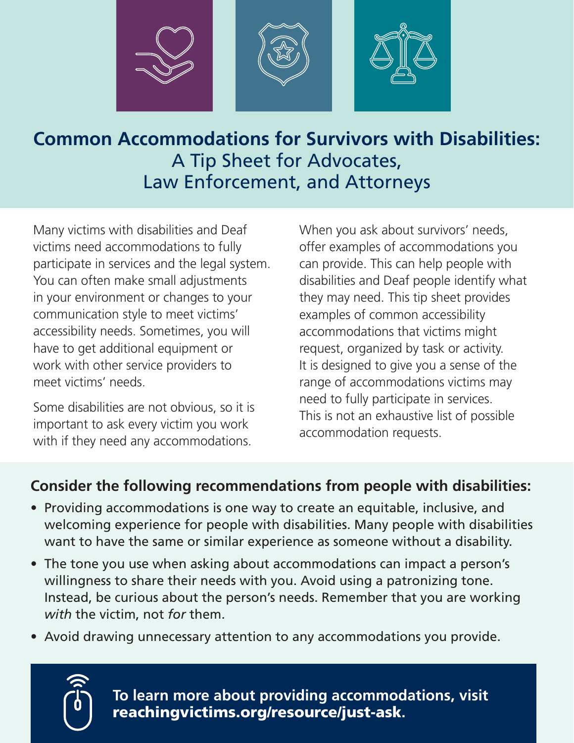

#### **Common Accommodations for Survivors with Disabilities:**  A Tip Sheet for Advocates, Law Enforcement, and Attorneys

Many victims with disabilities and Deaf victims need accommodations to fully participate in services and the legal system. You can often make small adjustments in your environment or changes to your communication style to meet victims' accessibility needs. Sometimes, you will have to get additional equipment or work with other service providers to meet victims' needs.

Some disabilities are not obvious, so it is important to ask every victim you work with if they need any accommodations.

When you ask about survivors' needs, offer examples of accommodations you can provide. This can help people with disabilities and Deaf people identify what they may need. This tip sheet provides examples of common accessibility accommodations that victims might request, organized by task or activity. It is designed to give you a sense of the range of accommodations victims may need to fully participate in services. This is not an exhaustive list of possible accommodation requests.

#### **Consider the following recommendations from people with disabilities:**

- Providing accommodations is one way to create an equitable, inclusive, and welcoming experience for people with disabilities. Many people with disabilities want to have the same or similar experience as someone without a disability.
- The tone you use when asking about accommodations can impact a person's willingness to share their needs with you. Avoid using a patronizing tone. Instead, be curious about the person's needs. Remember that you are working *with* the victim, not *for* them.
- Avoid drawing unnecessary attention to any accommodations you provide.



[reachingvictims.org/resource/just-ask](http://reachingvictims.org/resource/just-ask). **To learn more about providing accommodations, visit**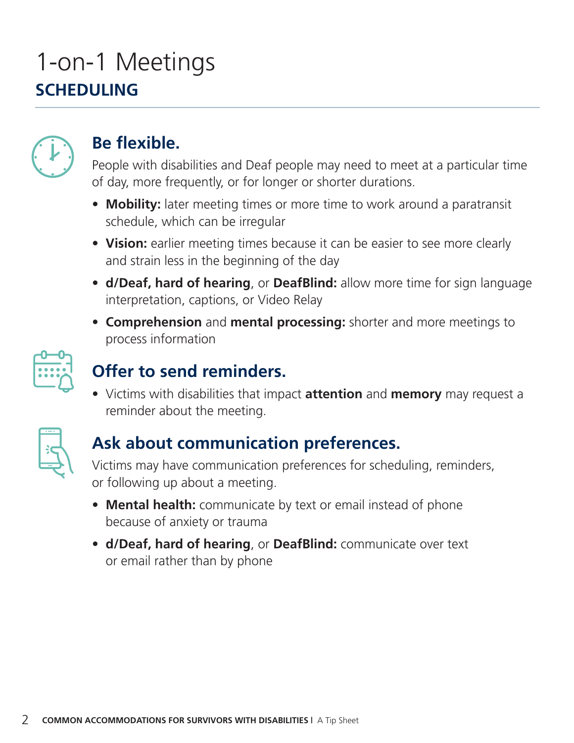### 1-on-1 Meetings **SCHEDULING**



#### **Be flexible.**

People with disabilities and Deaf people may need to meet at a particular time of day, more frequently, or for longer or shorter durations.

- **Mobility:** later meeting times or more time to work around a paratransit schedule, which can be irregular
- Vision: earlier meeting times because it can be easier to see more clearly and strain less in the beginning of the day
- **d/Deaf, hard of hearing**, or **DeafBlind:** allow more time for sign language interpretation, captions, or Video Relay
- **Comprehension** and **mental processing:** shorter and more meetings to process information



### **Offer to send reminders.**

**•** Victims with disabilities that impact **attention** and **memory** may request a reminder about the meeting.



#### **Ask about communication preferences.**

Victims may have communication preferences for scheduling, reminders, or following up about a meeting.

- **Mental health:** communicate by text or email instead of phone because of anxiety or trauma
- **d/Deaf, hard of hearing**, or **DeafBlind:** communicate over text or email rather than by phone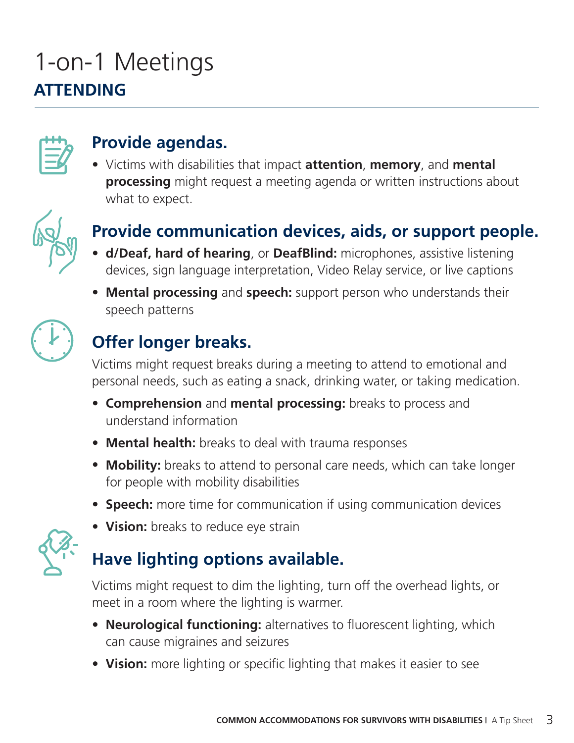## 1-on-1 Meetings **ATTENDING**



#### **Provide agendas.**

**•** Victims with disabilities that impact **attention**, **memory**, and **mental processing** might request a meeting agenda or written instructions about what to expect.



#### **Provide communication devices, aids, or support people.**

- **d/Deaf, hard of hearing**, or **DeafBlind:** microphones, assistive listening devices, sign language interpretation, Video Relay service, or live captions
- **Mental processing** and **speech:** support person who understands their speech patterns



#### **Offer longer breaks.**

Victims might request breaks during a meeting to attend to emotional and personal needs, such as eating a snack, drinking water, or taking medication.

- **Comprehension** and **mental processing:** breaks to process and understand information
- **Mental health:** breaks to deal with trauma responses
- **Mobility:** breaks to attend to personal care needs, which can take longer for people with mobility disabilities
- **Speech:** more time for communication if using communication devices



### **• Vision:** breaks to reduce eye strain

#### **Have lighting options available.**

Victims might request to dim the lighting, turn off the overhead lights, or meet in a room where the lighting is warmer.

- **Neurological functioning:** alternatives to fluorescent lighting, which can cause migraines and seizures
- **Vision:** more lighting or specific lighting that makes it easier to see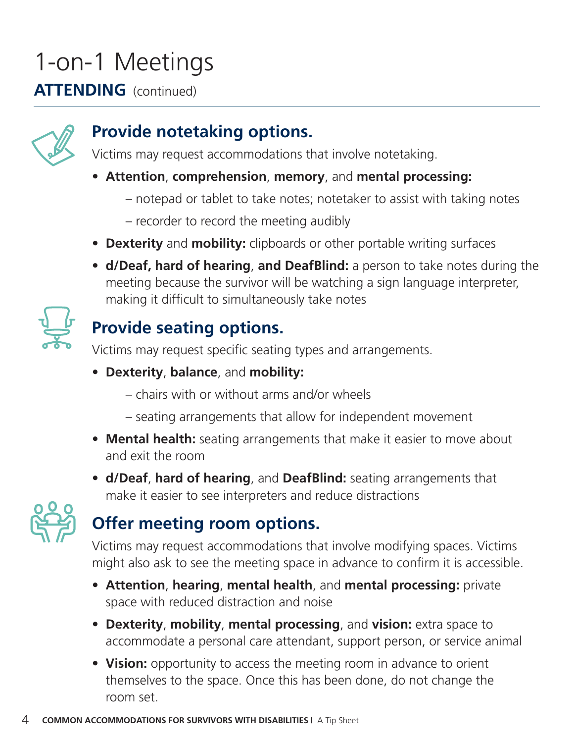# 1-on-1 Meetings

#### **ATTENDING** (continued)



#### **Provide notetaking options.**

Victims may request accommodations that involve notetaking.

- **Attention**, **comprehension**, **memory**, and **mental processing:**
	- notepad or tablet to take notes; notetaker to assist with taking notes
	- recorder to record the meeting audibly
- **Dexterity** and **mobility:** clipboards or other portable writing surfaces
- **d/Deaf, hard of hearing**, **and DeafBlind:** a person to take notes during the meeting because the survivor will be watching a sign language interpreter, making it difficult to simultaneously take notes



#### **Provide seating options.**

Victims may request specific seating types and arrangements.

- **Dexterity**, **balance**, and **mobility:** 
	- chairs with or without arms and/or wheels
	- seating arrangements that allow for independent movement
- **Mental health:** seating arrangements that make it easier to move about and exit the room
- **d/Deaf**, **hard of hearing**, and **DeafBlind:** seating arrangements that make it easier to see interpreters and reduce distractions



#### **Offer meeting room options.**

Victims may request accommodations that involve modifying spaces. Victims might also ask to see the meeting space in advance to confirm it is accessible.

- **Attention**, **hearing**, **mental health**, and **mental processing:** private space with reduced distraction and noise
- **Dexterity**, **mobility**, **mental processing**, and **vision:** extra space to accommodate a personal care attendant, support person, or service animal
- Vision: opportunity to access the meeting room in advance to orient themselves to the space. Once this has been done, do not change the room set.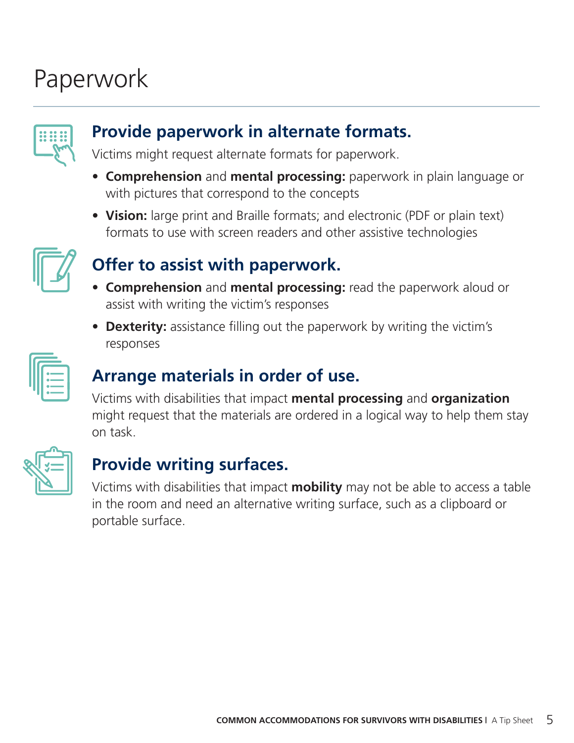## Paperwork



#### **Provide paperwork in alternate formats.**

Victims might request alternate formats for paperwork.

- **Comprehension** and **mental processing:** paperwork in plain language or with pictures that correspond to the concepts
- **Vision:** large print and Braille formats; and electronic (PDF or plain text) formats to use with screen readers and other assistive technologies



#### **Offer to assist with paperwork.**

- **Comprehension** and **mental processing:** read the paperwork aloud or assist with writing the victim's responses
- **Dexterity:** assistance filling out the paperwork by writing the victim's responses



#### **Arrange materials in order of use.**

Victims with disabilities that impact **mental processing** and **organization** might request that the materials are ordered in a logical way to help them stay on task.



#### **Provide writing surfaces.**

Victims with disabilities that impact **mobility** may not be able to access a table in the room and need an alternative writing surface, such as a clipboard or portable surface.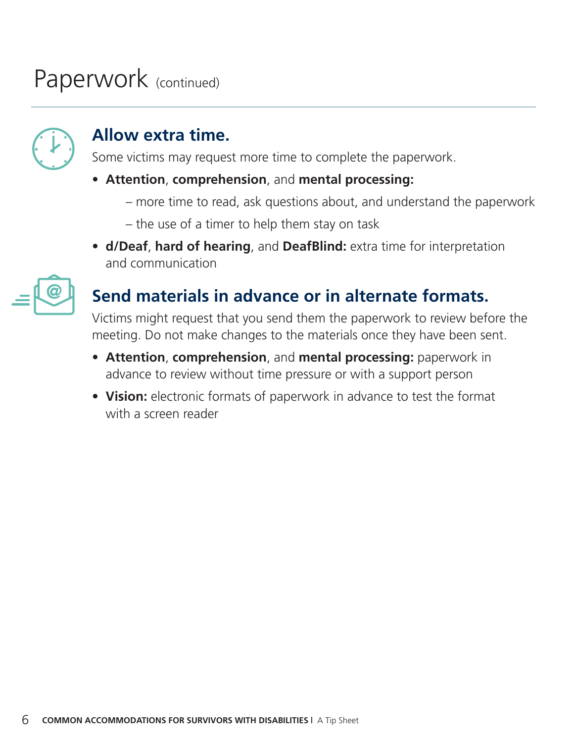## Paperwork (continued)



#### **Allow extra time.**

Some victims may request more time to complete the paperwork.

#### **• Attention**, **comprehension**, and **mental processing:**

- more time to read, ask questions about, and understand the paperwork
- the use of a timer to help them stay on task
- **d/Deaf**, **hard of hearing**, and **DeafBlind:** extra time for interpretation and communication



#### **Send materials in advance or in alternate formats.**

Victims might request that you send them the paperwork to review before the meeting. Do not make changes to the materials once they have been sent.

- **Attention**, **comprehension**, and **mental processing:** paperwork in advance to review without time pressure or with a support person
- Vision: electronic formats of paperwork in advance to test the format with a screen reader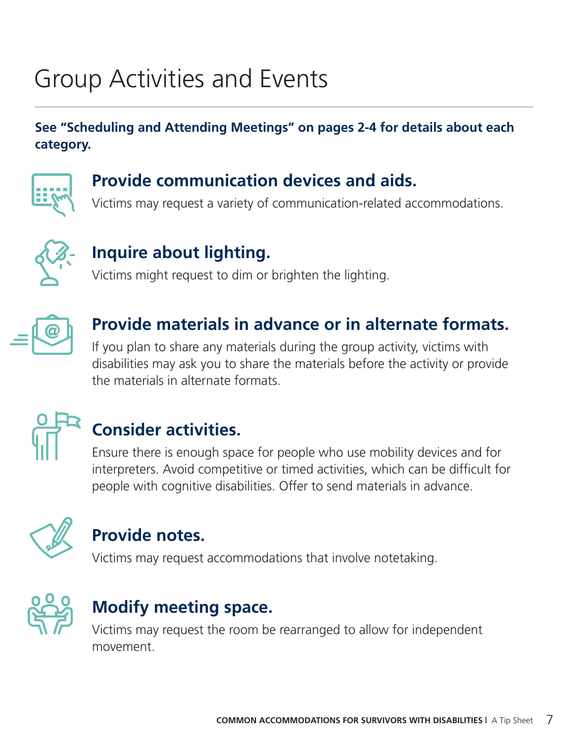## Group Activities and Events

#### **See "Scheduling and Attending Meetings" on pages 2-4 for details about each category.**



#### **Provide communication devices and aids.**

Victims may request a variety of communication-related accommodations.



#### **Inquire about lighting.**

Victims might request to dim or brighten the lighting.



#### **Provide materials in advance or in alternate formats.**

If you plan to share any materials during the group activity, victims with disabilities may ask you to share the materials before the activity or provide the materials in alternate formats.



### **Consider activities.**

Ensure there is enough space for people who use mobility devices and for interpreters. Avoid competitive or timed activities, which can be difficult for people with cognitive disabilities. Offer to send materials in advance.



#### **Provide notes.**

Victims may request accommodations that involve notetaking.



#### **Modify meeting space.**

Victims may request the room be rearranged to allow for independent movement.